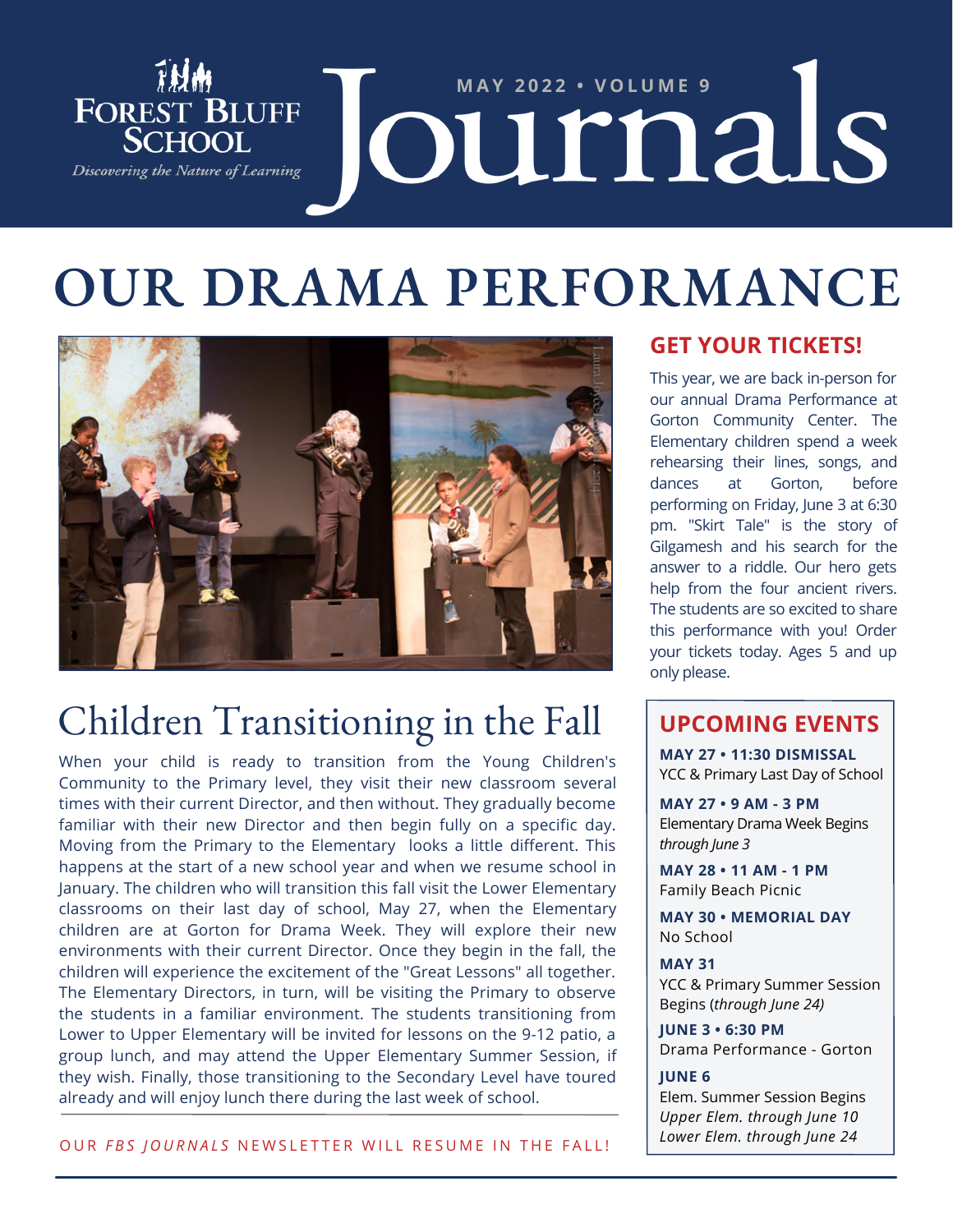

# **OUR DRAMA PERFORMANCE**



## Children Transitioning in the Fall

When your child is ready to transition from the Young Children's Community to the Primary level, they visit their new classroom several times with their current Director, and then without. They gradually become familiar with their new Director and then begin fully on a specific day. Moving from the Primary to the Elementary looks a little different. This happens at the start of a new school year and when we resume school in January. The children who will transition this fall visit the Lower Elementary classrooms on their last day of school, May 27, when the Elementary children are at Gorton for Drama Week. They will explore their new environments with their current Director. Once they begin in the fall, the children will experience the excitement of the "Great Lessons" all together. The Elementary Directors, in turn, will be visiting the Primary to observe the students in a familiar environment. The students transitioning from Lower to Upper Elementary will be invited for lessons on the 9-12 patio, a group lunch, and may attend the Upper Elementary Summer Session, if they wish. Finally, those transitioning to the Secondary Level have toured already and will enjoy lunch there during the last week of school.

#### **GET YOUR TICKETS!**

This year, we are back in-person for our annual Drama Performance at Gorton Community Center. The Elementary children spend a week rehearsing their lines, songs, and dances at Gorton, before performing on Friday, June 3 at 6:30 pm. "Skirt Tale" is the story of Gilgamesh and his search for the answer to a riddle. Our hero gets help from the four ancient rivers. The students are so excited to share this performance with you! Order your tickets today. Ages 5 and up only please.

#### **UPCOMING EVENTS**

**MAY 27 • 11:30 DISMISSAL** YCC & Primary Last Day of School

**MAY 27 • 9 AM - 3 PM** Elementary Drama Week Begins *through June 3*

**MAY 28 • 11 AM - 1 PM** Family Beach Picnic

**MAY 30 • MEMORIAL DAY** No School

**MAY 31** YCC & Primary Summer Session Begins (*through June 24)*

**JUNE 3 • 6:30 PM** Drama Performance - Gorton

#### **JUNE 6**

Elem. Summer Session Begins *Upper Elem. through June 10 Lower Elem. through June 24*

OUR FBS JOURNALS NEWSLETTER WILL RESUME IN THE FALL!